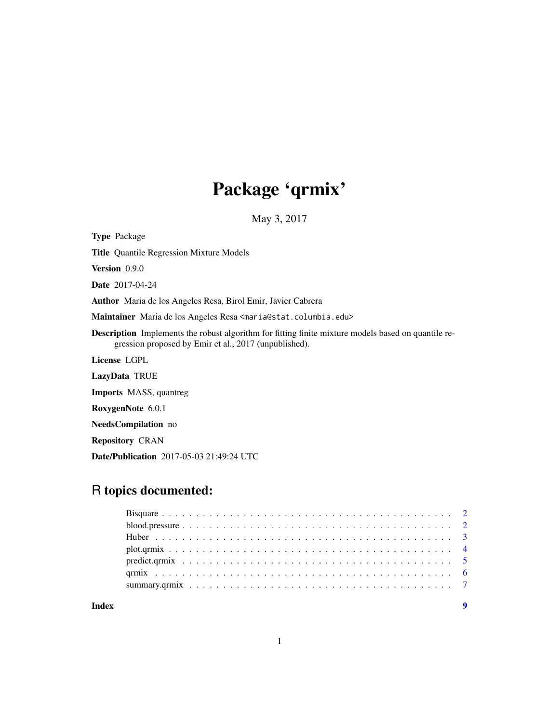## Package 'qrmix'

May 3, 2017

<span id="page-0-0"></span>Type Package

Title Quantile Regression Mixture Models

Version 0.9.0

Date 2017-04-24

Author Maria de los Angeles Resa, Birol Emir, Javier Cabrera

Maintainer Maria de los Angeles Resa <maria@stat.columbia.edu>

Description Implements the robust algorithm for fitting finite mixture models based on quantile regression proposed by Emir et al., 2017 (unpublished).

License LGPL

LazyData TRUE

Imports MASS, quantreg

RoxygenNote 6.0.1

NeedsCompilation no

Repository CRAN

Date/Publication 2017-05-03 21:49:24 UTC

### R topics documented: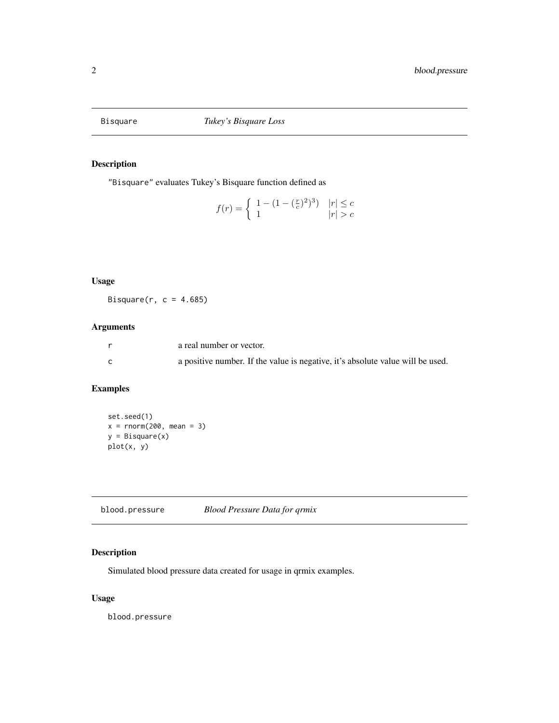<span id="page-1-0"></span>

"Bisquare" evaluates Tukey's Bisquare function defined as

$$
f(r) = \begin{cases} 1 - (1 - (\frac{r}{c})^2)^3) & |r| \le c \\ 1 & |r| > c \end{cases}
$$

### Usage

Bisquare( $r$ ,  $c = 4.685$ )

#### Arguments

| a real number or vector.                                                       |
|--------------------------------------------------------------------------------|
| a positive number. If the value is negative, it's absolute value will be used. |

#### Examples

```
set.seed(1)
x = rnorm(200, mean = 3)y = Bisquare(x)
plot(x, y)
```
blood.pressure *Blood Pressure Data for qrmix*

#### Description

Simulated blood pressure data created for usage in qrmix examples.

#### Usage

blood.pressure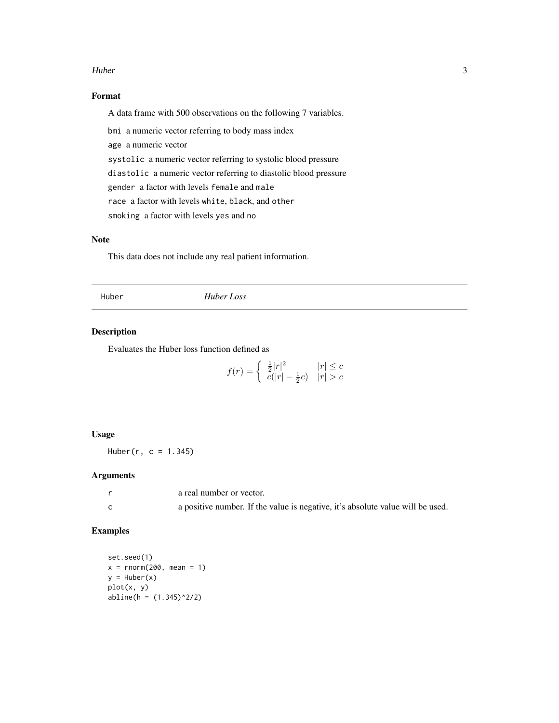#### <span id="page-2-0"></span>Huber 3 and 3 and 3 and 3 and 3 and 3 and 3 and 3 and 3 and 3 and 3 and 3 and 3 and 3 and 3 and 3 and 3 and 3 and 3 and 3 and 3 and 3 and 3 and 3 and 3 and 3 and 3 and 3 and 3 and 3 and 3 and 3 and 3 and 3 and 3 and 3 and

#### Format

A data frame with 500 observations on the following 7 variables.

bmi a numeric vector referring to body mass index

age a numeric vector

systolic a numeric vector referring to systolic blood pressure diastolic a numeric vector referring to diastolic blood pressure

gender a factor with levels female and male

race a factor with levels white, black, and other

smoking a factor with levels yes and no

#### Note

This data does not include any real patient information.

Huber *Huber Loss*

#### Description

Evaluates the Huber loss function defined as

$$
f(r) = \begin{cases} \frac{1}{2}|r|^2 & |r| \le c \\ c(|r| - \frac{1}{2}c) & |r| > c \end{cases}
$$

#### Usage

Huber( $r, c = 1.345$ )

#### Arguments

| a real number or vector.                                                       |
|--------------------------------------------------------------------------------|
| a positive number. If the value is negative, it's absolute value will be used. |

#### Examples

set.seed(1)  $x = rnorm(200, mean = 1)$  $y = Huber(x)$ plot(x, y) abline(h = (1.345)^2/2)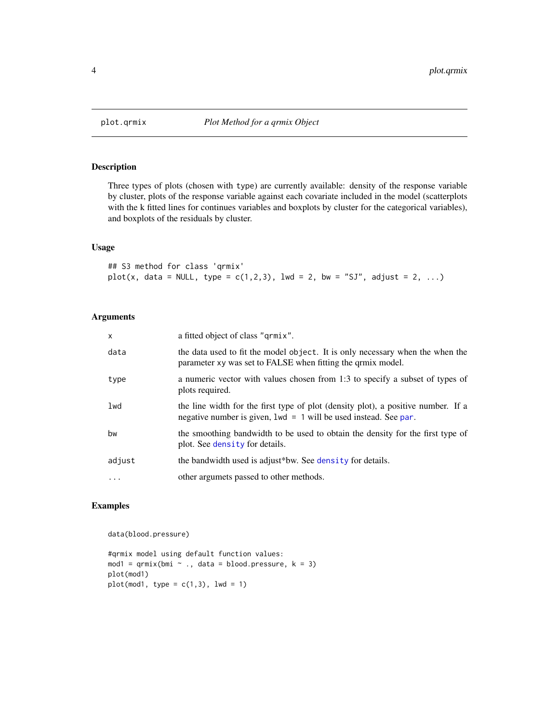<span id="page-3-0"></span>

Three types of plots (chosen with type) are currently available: density of the response variable by cluster, plots of the response variable against each covariate included in the model (scatterplots with the k fitted lines for continues variables and boxplots by cluster for the categorical variables), and boxplots of the residuals by cluster.

#### Usage

## S3 method for class 'qrmix' plot(x, data = NULL, type =  $c(1,2,3)$ , lwd = 2, bw = "SJ", adjust = 2, ...)

#### Arguments

| $\times$ | a fitted object of class "grmix".                                                                                                                       |
|----------|---------------------------------------------------------------------------------------------------------------------------------------------------------|
| data     | the data used to fit the model object. It is only necessary when the when the<br>parameter xy was set to FALSE when fitting the qrmix model.            |
| type     | a numeric vector with values chosen from 1:3 to specify a subset of types of<br>plots required.                                                         |
| lwd      | the line width for the first type of plot (density plot), a positive number. If a<br>negative number is given, $1wd = 1$ will be used instead. See par. |
| bw       | the smoothing bandwidth to be used to obtain the density for the first type of<br>plot. See density for details.                                        |
| adjust   | the bandwidth used is adjust*bw. See density for details.                                                                                               |
| $\cdot$  | other argumets passed to other methods.                                                                                                                 |

#### Examples

data(blood.pressure)

#qrmix model using default function values: mod1 =  $qrmix(bmi \sim ., data = blood.pressure, k = 3)$ plot(mod1)  $plot(mod1, type = c(1,3), lwd = 1)$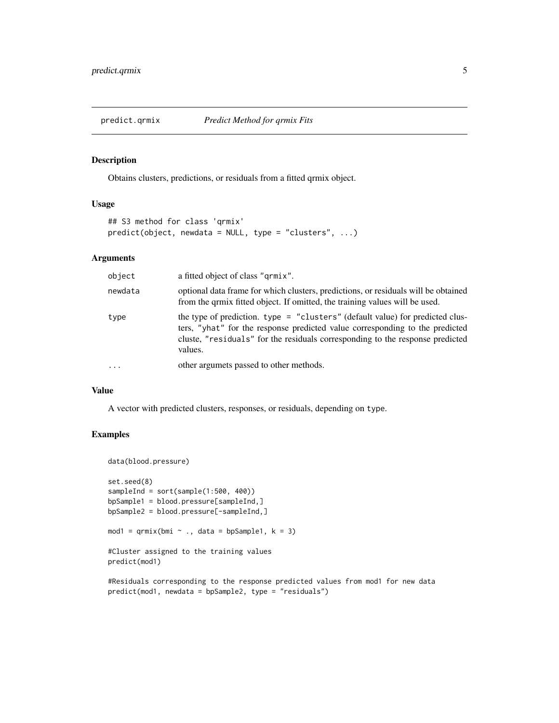<span id="page-4-0"></span>

Obtains clusters, predictions, or residuals from a fitted qrmix object.

#### Usage

```
## S3 method for class 'qrmix'
predict(object, newdata = NULL, type = "clusters", ...)
```
#### Arguments

| object    | a fitted object of class "grmix".                                                                                                                                                                                                                         |
|-----------|-----------------------------------------------------------------------------------------------------------------------------------------------------------------------------------------------------------------------------------------------------------|
| newdata   | optional data frame for which clusters, predictions, or residuals will be obtained<br>from the qrmix fitted object. If omitted, the training values will be used.                                                                                         |
| type      | the type of prediction. type = "clusters" (default value) for predicted clus-<br>ters, "yhat" for the response predicted value corresponding to the predicted<br>cluste, "residuals" for the residuals corresponding to the response predicted<br>values. |
| $\ddotsc$ | other argumets passed to other methods.                                                                                                                                                                                                                   |

#### Value

A vector with predicted clusters, responses, or residuals, depending on type.

#### Examples

```
data(blood.pressure)
set.seed(8)
sampleInd = sort(sample(1:500, 400))bpSample1 = blood.pressure[sampleInd,]
bpSample2 = blood.pressure[-sampleInd,]
mod1 = qrmix(bmi \sim ., data = bpSample1, k = 3)#Cluster assigned to the training values
predict(mod1)
```
#Residuals corresponding to the response predicted values from mod1 for new data predict(mod1, newdata = bpSample2, type = "residuals")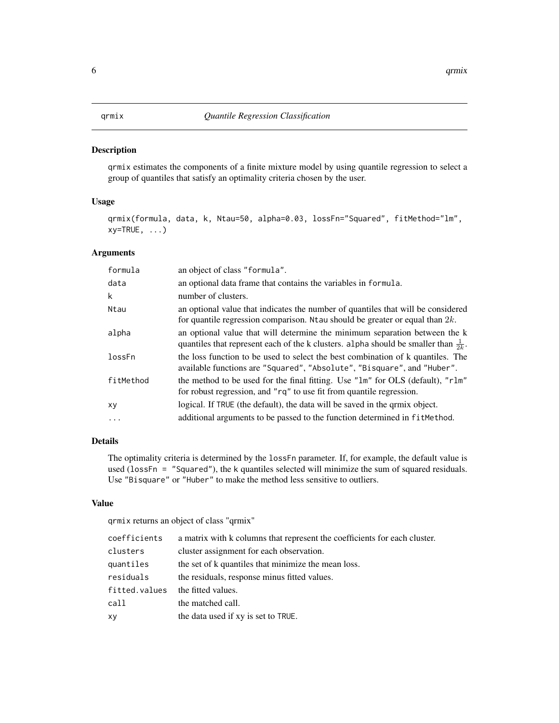<span id="page-5-0"></span>qrmix estimates the components of a finite mixture model by using quantile regression to select a group of quantiles that satisfy an optimality criteria chosen by the user.

#### Usage

```
qrmix(formula, data, k, Ntau=50, alpha=0.03, lossFn="Squared", fitMethod="lm",
xy = TRUE, \ldots)
```
#### Arguments

| formula   | an object of class "formula".                                                                                                                                                |
|-----------|------------------------------------------------------------------------------------------------------------------------------------------------------------------------------|
| data      | an optional data frame that contains the variables in formula.                                                                                                               |
| k         | number of clusters.                                                                                                                                                          |
| Ntau      | an optional value that indicates the number of quantiles that will be considered<br>for quantile regression comparison. Note all should be greater or equal than $2k$ .      |
| alpha     | an optional value that will determine the minimum separation between the k<br>quantiles that represent each of the k clusters. alpha should be smaller than $\frac{1}{2k}$ . |
| lossFn    | the loss function to be used to select the best combination of k quantiles. The<br>available functions are "Squared", "Absolute", "Bisquare", and "Huber".                   |
| fitMethod | the method to be used for the final fitting. Use "lm" for OLS (default), "rlm"<br>for robust regression, and "rq" to use fit from quantile regression.                       |
| хy        | logical. If TRUE (the default), the data will be saved in the grmix object.                                                                                                  |
| .         | additional arguments to be passed to the function determined in fit Method.                                                                                                  |
|           |                                                                                                                                                                              |

#### Details

The optimality criteria is determined by the lossFn parameter. If, for example, the default value is used (lossFn = "Squared"), the k quantiles selected will minimize the sum of squared residuals. Use "Bisquare" or "Huber" to make the method less sensitive to outliers.

#### Value

qrmix returns an object of class "qrmix"

| coefficients  | a matrix with k columns that represent the coefficients for each cluster. |
|---------------|---------------------------------------------------------------------------|
| clusters      | cluster assignment for each observation.                                  |
| quantiles     | the set of k quantiles that minimize the mean loss.                       |
| residuals     | the residuals, response minus fitted values.                              |
| fitted.values | the fitted values.                                                        |
| call          | the matched call.                                                         |
| xy            | the data used if xy is set to TRUE.                                       |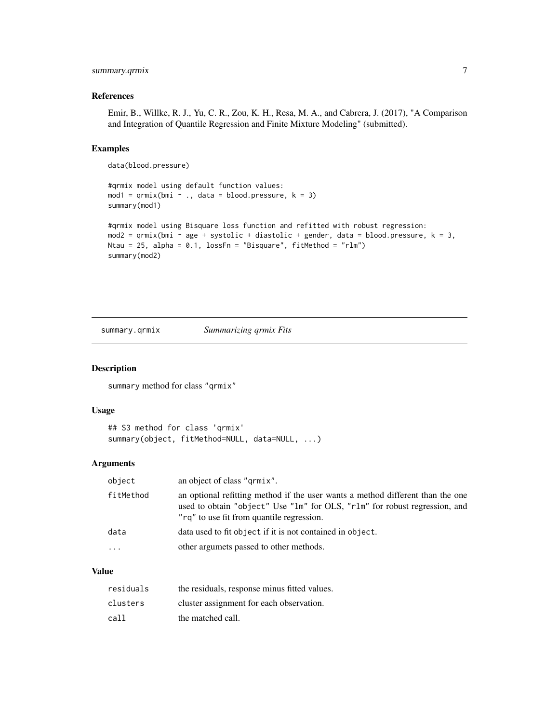#### <span id="page-6-0"></span>summary.qrmix 7

#### References

Emir, B., Willke, R. J., Yu, C. R., Zou, K. H., Resa, M. A., and Cabrera, J. (2017), "A Comparison and Integration of Quantile Regression and Finite Mixture Modeling" (submitted).

#### Examples

data(blood.pressure)

```
#qrmix model using default function values:
mod1 = qrmix(bmi \sim ., data = blood. pressure, k = 3)summary(mod1)
#qrmix model using Bisquare loss function and refitted with robust regression:
mod2 = qrmix(bmi \sim age + systolic + diastolic + gender, data = blood.pressure, k = 3,
Ntau = 25, alpha = 0.1, lossFn = "Bisquare", fitMethod = "rlm")
summary(mod2)
```
summary.qrmix *Summarizing qrmix Fits*

#### Description

summary method for class "qrmix"

#### Usage

```
## S3 method for class 'qrmix'
summary(object, fitMethod=NULL, data=NULL, ...)
```
#### Arguments

| object    | an object of class "grmix".                                                                                                                                                                               |
|-----------|-----------------------------------------------------------------------------------------------------------------------------------------------------------------------------------------------------------|
| fitMethod | an optional refitting method if the user wants a method different than the one<br>used to obtain "object" Use "1m" for OLS, "r1m" for robust regression, and<br>"rg" to use fit from quantile regression. |
| data      | data used to fit object if it is not contained in object.                                                                                                                                                 |
| $\cdot$   | other argumets passed to other methods.                                                                                                                                                                   |

#### Value

| residuals | the residuals, response minus fitted values. |
|-----------|----------------------------------------------|
| clusters  | cluster assignment for each observation.     |
| call      | the matched call.                            |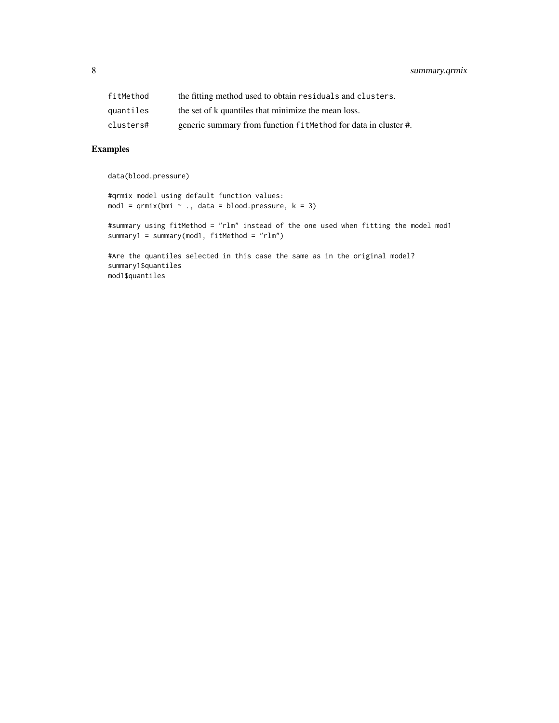| fitMethod | the fitting method used to obtain residuals and clusters.      |
|-----------|----------------------------------------------------------------|
| quantiles | the set of k quantiles that minimize the mean loss.            |
| clusters# | generic summary from function fitMethod for data in cluster #. |

#### Examples

data(blood.pressure)

```
#qrmix model using default function values:
mod1 = qrmix(bmi \sim ., data = blood.pressure, k = 3)
```

```
#summary using fitMethod = "rlm" instead of the one used when fitting the model mod1
summary1 = summary(mod1, fitMethod = "rlm")
```
#Are the quantiles selected in this case the same as in the original model? summary1\$quantiles mod1\$quantiles